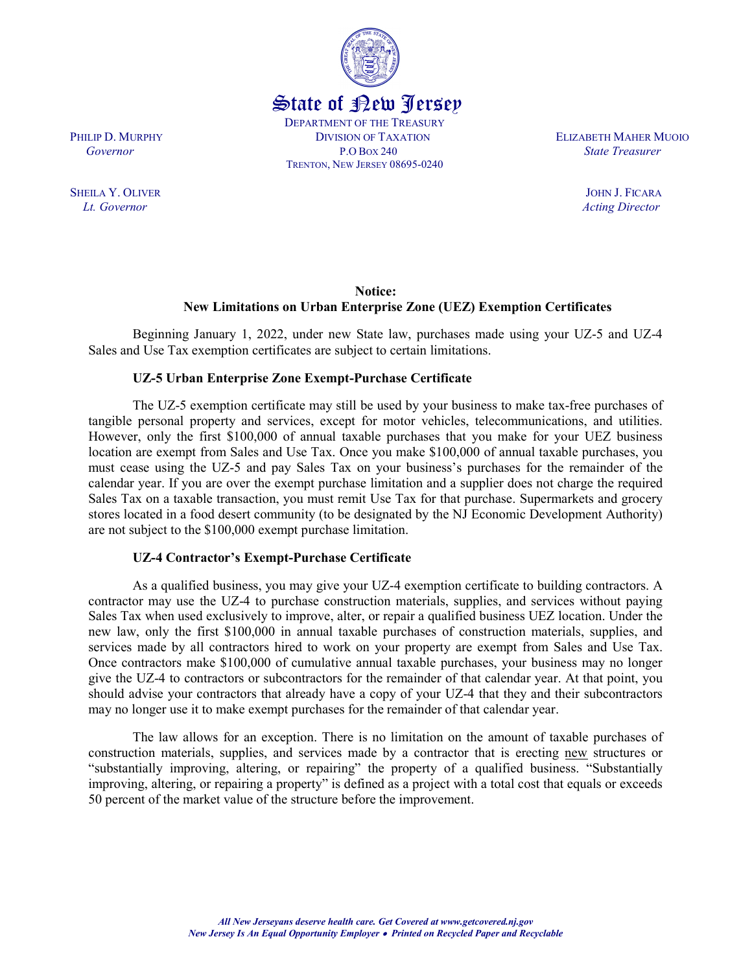TRENTON, NEW JERSEY 08695-0240

PHILIP D. MURPHY **DIVISION OF TAXATION** ELIZABETH MAHER MUOIO Governor **P.O Box 240** P.O Box 240 State Treasurer

## Notice: New Limitations on Urban Enterprise Zone (UEZ) Exemption Certificates

Beginning January 1, 2022, under new State law, purchases made using your UZ-5 and UZ-4 Sales and Use Tax exemption certificates are subject to certain limitations.

## UZ-5 Urban Enterprise Zone Exempt-Purchase Certificate

The UZ-5 exemption certificate may still be used by your business to make tax-free purchases of tangible personal property and services, except for motor vehicles, telecommunications, and utilities. However, only the first \$100,000 of annual taxable purchases that you make for your UEZ business location are exempt from Sales and Use Tax. Once you make \$100,000 of annual taxable purchases, you must cease using the UZ-5 and pay Sales Tax on your business's purchases for the remainder of the calendar year. If you are over the exempt purchase limitation and a supplier does not charge the required Sales Tax on a taxable transaction, you must remit Use Tax for that purchase. Supermarkets and grocery stores located in a food desert community (to be designated by the NJ Economic Development Authority) are not subject to the \$100,000 exempt purchase limitation.

## UZ-4 Contractor's Exempt-Purchase Certificate

 As a qualified business, you may give your UZ-4 exemption certificate to building contractors. A contractor may use the UZ-4 to purchase construction materials, supplies, and services without paying Sales Tax when used exclusively to improve, alter, or repair a qualified business UEZ location. Under the new law, only the first \$100,000 in annual taxable purchases of construction materials, supplies, and services made by all contractors hired to work on your property are exempt from Sales and Use Tax. Once contractors make \$100,000 of cumulative annual taxable purchases, your business may no longer give the UZ-4 to contractors or subcontractors for the remainder of that calendar year. At that point, you should advise your contractors that already have a copy of your UZ-4 that they and their subcontractors may no longer use it to make exempt purchases for the remainder of that calendar year.

 The law allows for an exception. There is no limitation on the amount of taxable purchases of construction materials, supplies, and services made by a contractor that is erecting new structures or "substantially improving, altering, or repairing" the property of a qualified business. "Substantially improving, altering, or repairing a property" is defined as a project with a total cost that equals or exceeds 50 percent of the market value of the structure before the improvement.

SHEILA Y. OLIVER JOHN J. FICARA Lt. Governor Acting Director